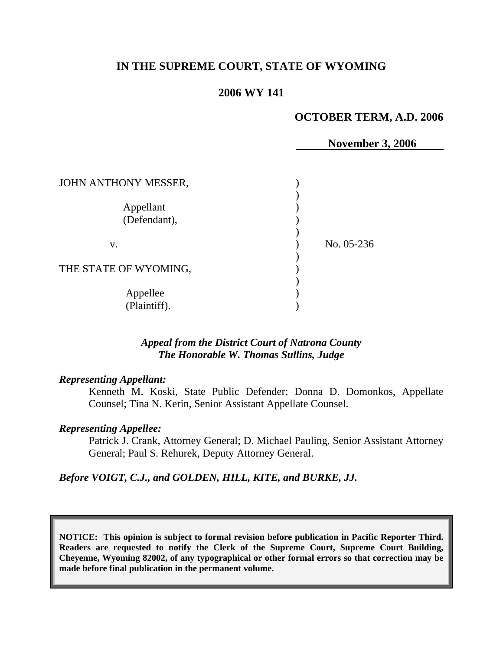# **IN THE SUPREME COURT, STATE OF WYOMING**

# **2006 WY 141**

### **OCTOBER TERM, A.D. 2006**

| <b>November 3, 2006</b> |
|-------------------------|
|                         |
|                         |
|                         |
| No. 05-236              |
|                         |
|                         |
|                         |
|                         |

## *Appeal from the District Court of Natrona County The Honorable W. Thomas Sullins, Judge*

### *Representing Appellant:*

Kenneth M. Koski, State Public Defender; Donna D. Domonkos, Appellate Counsel; Tina N. Kerin, Senior Assistant Appellate Counsel.

#### *Representing Appellee:*

Patrick J. Crank, Attorney General; D. Michael Pauling, Senior Assistant Attorney General; Paul S. Rehurek, Deputy Attorney General.

*Before VOIGT, C.J., and GOLDEN, HILL, KITE, and BURKE, JJ.* 

**NOTICE: This opinion is subject to formal revision before publication in Pacific Reporter Third. Readers are requested to notify the Clerk of the Supreme Court, Supreme Court Building, Cheyenne, Wyoming 82002, of any typographical or other formal errors so that correction may be made before final publication in the permanent volume.**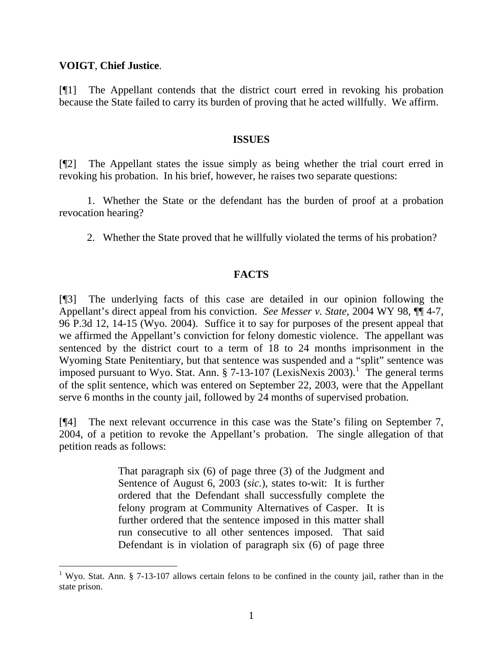# **VOIGT**, **Chief Justice**.

 $\overline{a}$ 

[¶1] The Appellant contends that the district court erred in revoking his probation because the State failed to carry its burden of proving that he acted willfully. We affirm.

## **ISSUES**

[¶2] The Appellant states the issue simply as being whether the trial court erred in revoking his probation. In his brief, however, he raises two separate questions:

 1. Whether the State or the defendant has the burden of proof at a probation revocation hearing?

2. Whether the State proved that he willfully violated the terms of his probation?

# **FACTS**

[¶3] The underlying facts of this case are detailed in our opinion following the Appellant's direct appeal from his conviction. *See Messer v. State,* 2004 WY 98, ¶¶ 4-7, 96 P.3d 12, 14-15 (Wyo. 2004). Suffice it to say for purposes of the present appeal that we affirmed the Appellant's conviction for felony domestic violence. The appellant was sentenced by the district court to a term of 18 to 24 months imprisonment in the Wyoming State Penitentiary, but that sentence was suspended and a "split" sentence was imposed pursuant to Wyo. Stat. Ann.  $\S$  7-[1](#page-1-0)3-107 (LexisNexis 2003).<sup>1</sup> The general terms of the split sentence, which was entered on September 22, 2003, were that the Appellant serve 6 months in the county jail, followed by 24 months of supervised probation.

[¶4] The next relevant occurrence in this case was the State's filing on September 7, 2004, of a petition to revoke the Appellant's probation. The single allegation of that petition reads as follows:

> That paragraph six (6) of page three (3) of the Judgment and Sentence of August 6, 2003 (*sic.*), states to-wit: It is further ordered that the Defendant shall successfully complete the felony program at Community Alternatives of Casper. It is further ordered that the sentence imposed in this matter shall run consecutive to all other sentences imposed. That said Defendant is in violation of paragraph six (6) of page three

<span id="page-1-0"></span><sup>&</sup>lt;sup>1</sup> Wyo. Stat. Ann. § 7-13-107 allows certain felons to be confined in the county jail, rather than in the state prison.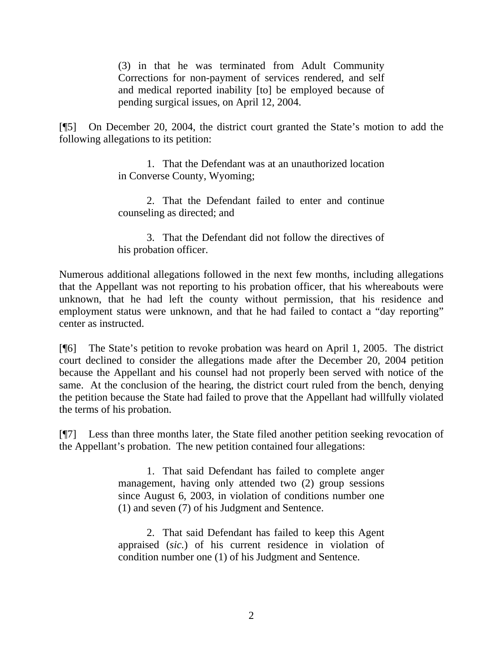(3) in that he was terminated from Adult Community Corrections for non-payment of services rendered, and self and medical reported inability [to] be employed because of pending surgical issues, on April 12, 2004.

[¶5] On December 20, 2004, the district court granted the State's motion to add the following allegations to its petition:

> 1. That the Defendant was at an unauthorized location in Converse County, Wyoming;

> 2. That the Defendant failed to enter and continue counseling as directed; and

> 3. That the Defendant did not follow the directives of his probation officer.

Numerous additional allegations followed in the next few months, including allegations that the Appellant was not reporting to his probation officer, that his whereabouts were unknown, that he had left the county without permission, that his residence and employment status were unknown, and that he had failed to contact a "day reporting" center as instructed.

[¶6] The State's petition to revoke probation was heard on April 1, 2005. The district court declined to consider the allegations made after the December 20, 2004 petition because the Appellant and his counsel had not properly been served with notice of the same. At the conclusion of the hearing, the district court ruled from the bench, denying the petition because the State had failed to prove that the Appellant had willfully violated the terms of his probation.

[¶7] Less than three months later, the State filed another petition seeking revocation of the Appellant's probation. The new petition contained four allegations:

> 1. That said Defendant has failed to complete anger management, having only attended two (2) group sessions since August 6, 2003, in violation of conditions number one (1) and seven (7) of his Judgment and Sentence.

> 2. That said Defendant has failed to keep this Agent appraised (*sic.*) of his current residence in violation of condition number one (1) of his Judgment and Sentence.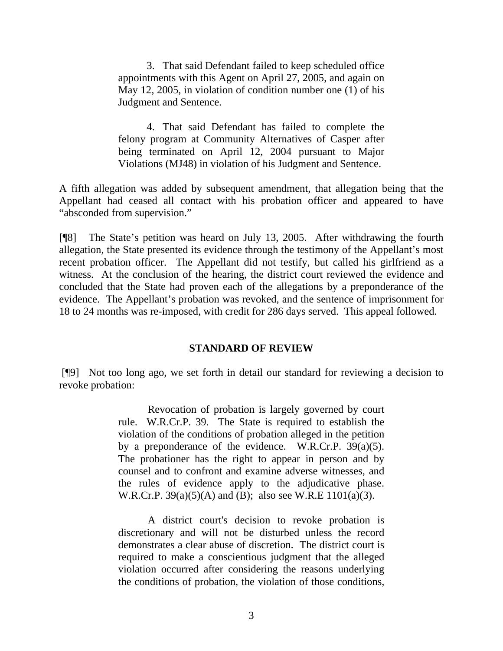3. That said Defendant failed to keep scheduled office appointments with this Agent on April 27, 2005, and again on May 12, 2005, in violation of condition number one (1) of his Judgment and Sentence.

 4. That said Defendant has failed to complete the felony program at Community Alternatives of Casper after being terminated on April 12, 2004 pursuant to Major Violations (MJ48) in violation of his Judgment and Sentence.

A fifth allegation was added by subsequent amendment, that allegation being that the Appellant had ceased all contact with his probation officer and appeared to have "absconded from supervision."

[¶8] The State's petition was heard on July 13, 2005. After withdrawing the fourth allegation, the State presented its evidence through the testimony of the Appellant's most recent probation officer. The Appellant did not testify, but called his girlfriend as a witness. At the conclusion of the hearing, the district court reviewed the evidence and concluded that the State had proven each of the allegations by a preponderance of the evidence. The Appellant's probation was revoked, and the sentence of imprisonment for 18 to 24 months was re-imposed, with credit for 286 days served. This appeal followed.

# **STANDARD OF REVIEW**

 [¶9] Not too long ago, we set forth in detail our standard for reviewing a decision to revoke probation:

> Revocation of probation is largely governed by court rule. W.R.Cr.P. 39. The State is required to establish the violation of the conditions of probation alleged in the petition by a preponderance of the evidence. W.R.Cr.P. 39(a)(5). The probationer has the right to appear in person and by counsel and to confront and examine adverse witnesses, and the rules of evidence apply to the adjudicative phase. W.R.Cr.P. 39(a)(5)(A) and (B); also see W.R.E 1101(a)(3).

> A district court's decision to revoke probation is discretionary and will not be disturbed unless the record demonstrates a clear abuse of discretion. The district court is required to make a conscientious judgment that the alleged violation occurred after considering the reasons underlying the conditions of probation, the violation of those conditions,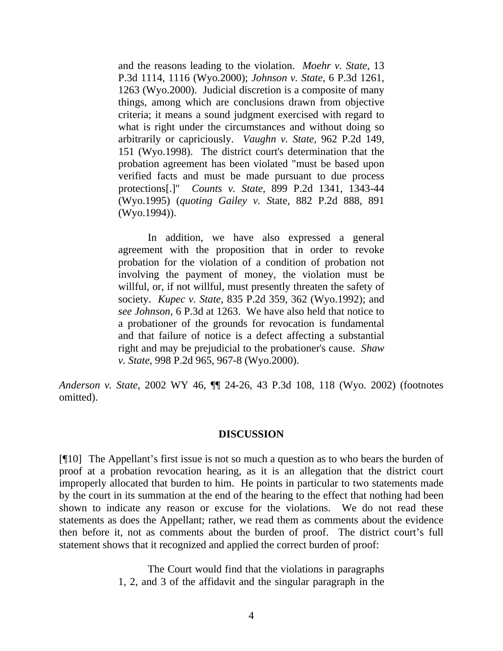and the reasons leading to the violation. *Moehr v. State*, 13 P.3d 1114, 1116 (Wyo.2000); *Johnson v. State*, 6 P.3d 1261, 1263 (Wyo.2000). Judicial discretion is a composite of many things, among which are conclusions drawn from objective criteria; it means a sound judgment exercised with regard to what is right under the circumstances and without doing so arbitrarily or capriciously. *Vaughn v. State*, 962 P.2d 149, 151 (Wyo.1998). The district court's determination that the probation agreement has been violated "must be based upon verified facts and must be made pursuant to due process protections[.]" *Counts v. State*, 899 P.2d 1341, 1343-44 (Wyo.1995) (*quoting Gailey v. S*tate, 882 P.2d 888, 891 (Wyo.1994)).

 In addition, we have also expressed a general agreement with the proposition that in order to revoke probation for the violation of a condition of probation not involving the payment of money, the violation must be willful, or, if not willful, must presently threaten the safety of society. *Kupec v. State*, 835 P.2d 359, 362 (Wyo.1992); and *see Johnson*, 6 P.3d at 1263. We have also held that notice to a probationer of the grounds for revocation is fundamental and that failure of notice is a defect affecting a substantial right and may be prejudicial to the probationer's cause. *Shaw v. State*, 998 P.2d 965, 967-8 (Wyo.2000).

*Anderson v. State,* 2002 WY 46, ¶¶ 24-26, 43 P.3d 108, 118 (Wyo. 2002) (footnotes omitted).

# **DISCUSSION**

[¶10] The Appellant's first issue is not so much a question as to who bears the burden of proof at a probation revocation hearing, as it is an allegation that the district court improperly allocated that burden to him. He points in particular to two statements made by the court in its summation at the end of the hearing to the effect that nothing had been shown to indicate any reason or excuse for the violations. We do not read these statements as does the Appellant; rather, we read them as comments about the evidence then before it, not as comments about the burden of proof. The district court's full statement shows that it recognized and applied the correct burden of proof:

> The Court would find that the violations in paragraphs 1, 2, and 3 of the affidavit and the singular paragraph in the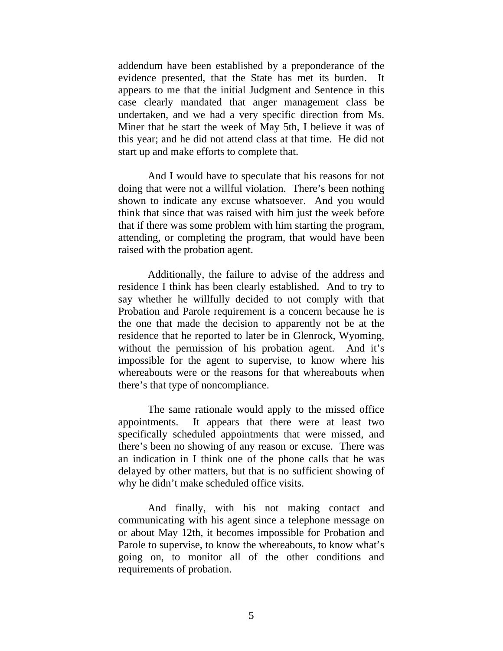addendum have been established by a preponderance of the evidence presented, that the State has met its burden. It appears to me that the initial Judgment and Sentence in this case clearly mandated that anger management class be undertaken, and we had a very specific direction from Ms. Miner that he start the week of May 5th, I believe it was of this year; and he did not attend class at that time. He did not start up and make efforts to complete that.

 And I would have to speculate that his reasons for not doing that were not a willful violation. There's been nothing shown to indicate any excuse whatsoever. And you would think that since that was raised with him just the week before that if there was some problem with him starting the program, attending, or completing the program, that would have been raised with the probation agent.

 Additionally, the failure to advise of the address and residence I think has been clearly established. And to try to say whether he willfully decided to not comply with that Probation and Parole requirement is a concern because he is the one that made the decision to apparently not be at the residence that he reported to later be in Glenrock, Wyoming, without the permission of his probation agent. And it's impossible for the agent to supervise, to know where his whereabouts were or the reasons for that whereabouts when there's that type of noncompliance.

 The same rationale would apply to the missed office appointments. It appears that there were at least two specifically scheduled appointments that were missed, and there's been no showing of any reason or excuse. There was an indication in I think one of the phone calls that he was delayed by other matters, but that is no sufficient showing of why he didn't make scheduled office visits.

 And finally, with his not making contact and communicating with his agent since a telephone message on or about May 12th, it becomes impossible for Probation and Parole to supervise, to know the whereabouts, to know what's going on, to monitor all of the other conditions and requirements of probation.